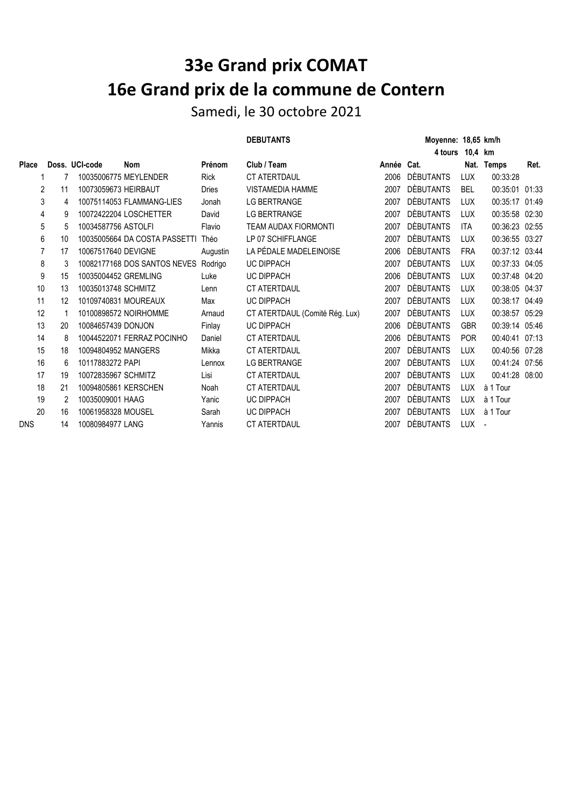## **33e Grand prix COMAT 16e Grand prix de la commune de Contern**

Samedi, le 30 octobre 2021

## DEBUTANTS Moyenne: 18,65 km/h

|              |    |                      |                                      |             |                                |            | 4 tours          | 10,4 km    |                          |       |
|--------------|----|----------------------|--------------------------------------|-------------|--------------------------------|------------|------------------|------------|--------------------------|-------|
| <b>Place</b> |    | Doss. UCI-code       | <b>Nom</b>                           | Prénom      | Club / Team                    | Année Cat. |                  | Nat.       | Temps                    | Ret.  |
|              |    |                      | 10035006775 MEYLENDER                | <b>Rick</b> | <b>CT ATERTDAUL</b>            | 2006       | <b>DÈBUTANTS</b> | LUX        | 00:33:28                 |       |
| 2            | 11 | 10073059673 HEIRBAUT |                                      | Dries       | <b>VISTAMEDIA HAMME</b>        | 2007       | <b>DÈBUTANTS</b> | <b>BEL</b> | 00:35:01 01:33           |       |
| 3            | 4  |                      | 10075114053 FLAMMANG-LIES            | Jonah       | LG BERTRANGE                   | 2007       | <b>DÈBUTANTS</b> | <b>LUX</b> | 00:35:17 01:49           |       |
| 4            | 9  |                      | 10072422204 LOSCHETTER               | David       | LG BERTRANGE                   | 2007       | <b>DÈBUTANTS</b> | <b>LUX</b> | 00:35:58 02:30           |       |
| 5            | 5  | 10034587756 ASTOLFI  |                                      | Flavio      | <b>TEAM AUDAX FIORMONTI</b>    | 2007       | <b>DÈBUTANTS</b> | <b>ITA</b> | 00:36:23 02:55           |       |
| 6            | 10 |                      | 10035005664 DA COSTA PASSETTI        | Théo        | LP 07 SCHIFFLANGE              | 2007       | <b>DÈBUTANTS</b> | <b>LUX</b> | 00:36:55 03:27           |       |
| 7            | 17 | 10067517640 DEVIGNE  |                                      | Augustin    | LA PÉDALE MADELEINOISE         | 2006       | <b>DÈBUTANTS</b> | <b>FRA</b> | 00:37:12 03:44           |       |
| 8            | 3  |                      | 10082177168 DOS SANTOS NEVES Rodrigo |             | UC DIPPACH                     | 2007       | <b>DÈBUTANTS</b> | <b>LUX</b> | 00:37:33 04:05           |       |
| 9            | 15 | 10035004452 GREMLING |                                      | Luke        | <b>UC DIPPACH</b>              | 2006       | <b>DÈBUTANTS</b> | <b>LUX</b> | 00:37:48 04:20           |       |
| 10           | 13 | 10035013748 SCHMITZ  |                                      | Lenn        | <b>CT ATERTDAUL</b>            | 2007       | <b>DÈBUTANTS</b> | <b>LUX</b> | 00:38:05 04:37           |       |
| 11           | 12 |                      | 10109740831 MOUREAUX                 | Max         | <b>UC DIPPACH</b>              | 2007       | <b>DÈBUTANTS</b> | <b>LUX</b> | 00:38:17                 | 04:49 |
| 12           |    |                      | 10100898572 NOIRHOMME                | Arnaud      | CT ATERTDAUL (Comité Rég. Lux) | 2007       | <b>DÈBUTANTS</b> | <b>LUX</b> | 00:38:57                 | 05:29 |
| 13           | 20 | 10084657439 DONJON   |                                      | Finlay      | UC DIPPACH                     | 2006       | <b>DÈBUTANTS</b> | <b>GBR</b> | 00:39:14 05:46           |       |
| 14           | 8  |                      | 10044522071 FERRAZ POCINHO           | Daniel      | <b>CT ATERTDAUL</b>            | 2006       | <b>DÈBUTANTS</b> | <b>POR</b> | 00:40:41 07:13           |       |
| 15           | 18 | 10094804952 MANGERS  |                                      | Mikka       | <b>CT ATERTDAUL</b>            | 2007       | <b>DÈBUTANTS</b> | <b>LUX</b> | 00:40:56 07:28           |       |
| 16           | 6  | 10117883272 PAPI     |                                      | Lennox      | <b>LG BERTRANGE</b>            | 2007       | <b>DÈBUTANTS</b> | <b>LUX</b> | 00:41:24                 | 07:56 |
| 17           | 19 | 10072835967 SCHMITZ  |                                      | Lisi        | <b>CT ATERTDAUL</b>            | 2007       | <b>DÈBUTANTS</b> | <b>LUX</b> | 00:41:28 08:00           |       |
| 18           | 21 | 10094805861 KERSCHEN |                                      | Noah        | CT ATERTDAUL                   | 2007       | <b>DÈBUTANTS</b> | <b>LUX</b> | à 1 Tour                 |       |
| 19           | 2  | 10035009001 HAAG     |                                      | Yanic       | UC DIPPACH                     | 2007       | <b>DÈBUTANTS</b> | LUX        | à 1 Tour                 |       |
| 20           | 16 | 10061958328 MOUSEL   |                                      | Sarah       | <b>UC DIPPACH</b>              | 2007       | <b>DÈBUTANTS</b> | LUX        | à 1 Tour                 |       |
| <b>DNS</b>   | 14 | 10080984977 LANG     |                                      | Yannis      | <b>CT ATERTDAUL</b>            | 2007       | <b>DÈBUTANTS</b> | <b>LUX</b> | $\overline{\phantom{a}}$ |       |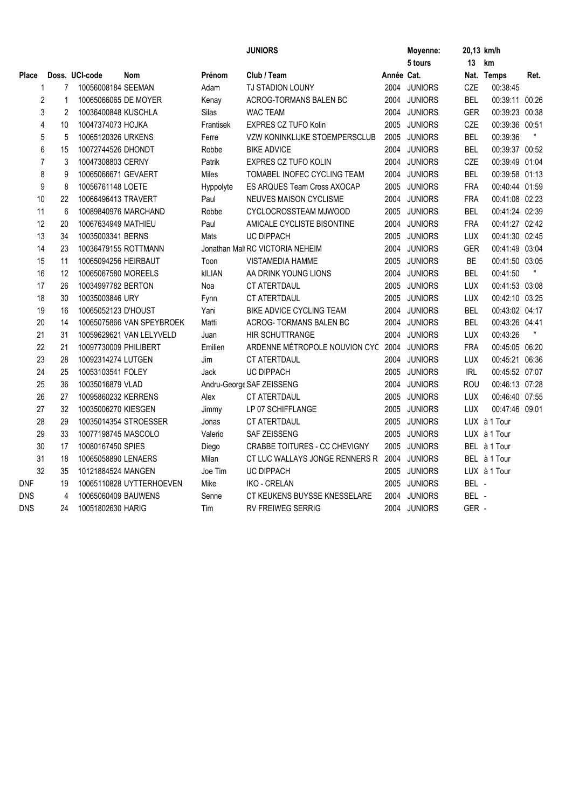|              |                     |                       |                           |               | <b>JUNIORS</b>                     |            | Moyenne:       |            | 20,13 km/h     |      |
|--------------|---------------------|-----------------------|---------------------------|---------------|------------------------------------|------------|----------------|------------|----------------|------|
|              |                     |                       |                           |               |                                    |            | 5 tours        | 13         | km             |      |
| <b>Place</b> |                     | Doss. UCI-code        | <b>Nom</b>                | Prénom        | Club / Team                        | Année Cat. |                |            | Nat. Temps     | Ret. |
|              | 7<br>1              | 10056008184 SEEMAN    |                           | Adam          | <b>TJ STADION LOUNY</b>            |            | 2004 JUNIORS   | CZE        | 00:38:45       |      |
|              | $\overline{2}$<br>1 | 10065066065 DE MOYER  |                           | Kenay         | ACROG-TORMANS BALEN BC             |            | 2004 JUNIORS   | <b>BEL</b> | 00:39:11 00:26 |      |
|              | 3<br>2              | 10036400848 KUSCHLA   |                           | Silas         | <b>WAC TEAM</b>                    | 2004       | <b>JUNIORS</b> | <b>GER</b> | 00:39:23 00:38 |      |
|              | 4<br>10             | 10047374073 HOJKA     |                           | Frantisek     | <b>EXPRES CZ TUFO Kolin</b>        |            | 2005 JUNIORS   | CZE        | 00:39:36 00:51 |      |
|              | $\sqrt{5}$<br>5     | 10065120326 URKENS    |                           | Ferre         | VZW KONINKLIJKE STOEMPERSCLUB      | 2005       | <b>JUNIORS</b> | <b>BEL</b> | 00:39:36       |      |
|              | 6<br>15             | 10072744526 DHONDT    |                           | Robbe         | <b>BIKE ADVICE</b>                 | 2004       | <b>JUNIORS</b> | <b>BEL</b> | 00:39:37 00:52 |      |
|              | $\overline{7}$<br>3 | 10047308803 CERNY     |                           | Patrik        | EXPRES CZ TUFO KOLIN               | 2004       | <b>JUNIORS</b> | CZE        | 00:39:49 01:04 |      |
|              | 8<br>9              | 10065066671 GEVAERT   |                           | Miles         | TOMABEL INOFEC CYCLING TEAM        | 2004       | <b>JUNIORS</b> | <b>BEL</b> | 00:39:58 01:13 |      |
|              | 9<br>8              | 10056761148 LOETE     |                           | Hyppolyte     | <b>ES ARQUES Team Cross AXOCAP</b> |            | 2005 JUNIORS   | <b>FRA</b> | 00:40:44 01:59 |      |
| 10           | 22                  | 10066496413 TRAVERT   |                           | Paul          | NEUVES MAISON CYCLISME             | 2004       | <b>JUNIORS</b> | <b>FRA</b> | 00:41:08 02:23 |      |
| 11           | 6                   |                       | 10089840976 MARCHAND      | Robbe         | CYCLOCROSSTEAM MJWOOD              |            | 2005 JUNIORS   | <b>BEL</b> | 00:41:24 02:39 |      |
| 12           | 20                  | 10067634949 MATHIEU   |                           | Paul          | AMICALE CYCLISTE BISONTINE         | 2004       | <b>JUNIORS</b> | <b>FRA</b> | 00:41:27 02:42 |      |
| 13           | 34                  | 10035003341 BERNS     |                           | Mats          | <b>UC DIPPACH</b>                  |            | 2005 JUNIORS   | <b>LUX</b> | 00:41:30 02:45 |      |
| 14           | 23                  | 10036479155 ROTTMANN  |                           |               | Jonathan Mall RC VICTORIA NEHEIM   | 2004       | <b>JUNIORS</b> | <b>GER</b> | 00:41:49 03:04 |      |
| 15           | 11                  | 10065094256 HEIRBAUT  |                           | Toon          | <b>VISTAMEDIA HAMME</b>            | 2005       | <b>JUNIORS</b> | <b>BE</b>  | 00:41:50 03:05 |      |
| 16           | 12                  | 10065067580 MOREELS   |                           | <b>kILIAN</b> | AA DRINK YOUNG LIONS               | 2004       | <b>JUNIORS</b> | <b>BEL</b> | 00:41:50       |      |
| 17           | 26                  | 10034997782 BERTON    |                           | Noa           | CT ATERTDAUL                       | 2005       | <b>JUNIORS</b> | <b>LUX</b> | 00:41:53 03:08 |      |
| 18           | 30                  | 10035003846 URY       |                           | Fynn          | <b>CT ATERTDAUL</b>                | 2005       | <b>JUNIORS</b> | <b>LUX</b> | 00:42:10 03:25 |      |
| 19           | 16                  | 10065052123 D'HOUST   |                           | Yani          | BIKE ADVICE CYCLING TEAM           | 2004       | <b>JUNIORS</b> | <b>BEL</b> | 00:43:02 04:17 |      |
| 20           | 14                  |                       | 10065075866 VAN SPEYBROEK | Matti         | ACROG-TORMANS BALEN BC             | 2004       | <b>JUNIORS</b> | <b>BEL</b> | 00:43:26 04:41 |      |
| 21           | 31                  |                       | 10059629621 VAN LELYVELD  | Juan          | <b>HIR SCHUTTRANGE</b>             | 2004       | <b>JUNIORS</b> | <b>LUX</b> | 00:43:26       |      |
| 22           | 21                  | 10097730009 PHILIBERT |                           | Emilien       | ARDENNE MÉTROPOLE NOUVION CYC      | 2004       | <b>JUNIORS</b> | <b>FRA</b> | 00:45:05 06:20 |      |
| 23           | 28                  | 10092314274 LUTGEN    |                           | Jim           | CT ATERTDAUL                       | 2004       | <b>JUNIORS</b> | <b>LUX</b> | 00:45:21 06:36 |      |
| 24           | 25                  | 10053103541 FOLEY     |                           | Jack          | UC DIPPACH                         | 2005       | <b>JUNIORS</b> | <b>IRL</b> | 00:45:52 07:07 |      |
| 25           | 36                  | 10035016879 VLAD      |                           |               | Andru-George SAF ZEISSENG          | 2004       | <b>JUNIORS</b> | ROU        | 00:46:13 07:28 |      |
| 26           | 27                  | 10095860232 KERRENS   |                           | Alex          | <b>CT ATERTDAUL</b>                | 2005       | <b>JUNIORS</b> | <b>LUX</b> | 00:46:40 07:55 |      |
| 27           | 32                  | 10035006270 KIESGEN   |                           | Jimmy         | LP 07 SCHIFFLANGE                  | 2005       | <b>JUNIORS</b> | <b>LUX</b> | 00:47:46 09:01 |      |
| 28           | 29                  |                       | 10035014354 STROESSER     | Jonas         | CT ATERTDAUL                       | 2005       | <b>JUNIORS</b> |            | LUX à 1 Tour   |      |
| 29           | 33                  | 10077198745 MASCOLO   |                           | Valerio       | SAF ZEISSENG                       | 2005       | <b>JUNIORS</b> |            | LUX à 1 Tour   |      |
| 30           | 17                  | 10080167450 SPIES     |                           | Diego         | CRABBE TOITURES - CC CHEVIGNY      | 2005       | <b>JUNIORS</b> |            | BEL à 1 Tour   |      |
| 31           | 18                  | 10065058890 LENAERS   |                           | Milan         | CT LUC WALLAYS JONGE RENNERS R     | 2004       | <b>JUNIORS</b> |            | BEL à 1 Tour   |      |
| 32           | 35                  | 10121884524 MANGEN    |                           | Joe Tim       | <b>UC DIPPACH</b>                  | 2005       | <b>JUNIORS</b> |            | LUX à 1 Tour   |      |
| <b>DNF</b>   | 19                  |                       | 10065110828 UYTTERHOEVEN  | Mike          | <b>IKO - CRELAN</b>                | 2005       | <b>JUNIORS</b> | BEL -      |                |      |
| <b>DNS</b>   | 4                   | 10065060409 BAUWENS   |                           | Senne         | CT KEUKENS BUYSSE KNESSELARE       | 2004       | <b>JUNIORS</b> | BEL -      |                |      |
| <b>DNS</b>   | 24                  | 10051802630 HARIG     |                           | Tim           | <b>RV FREIWEG SERRIG</b>           |            | 2004 JUNIORS   | GER -      |                |      |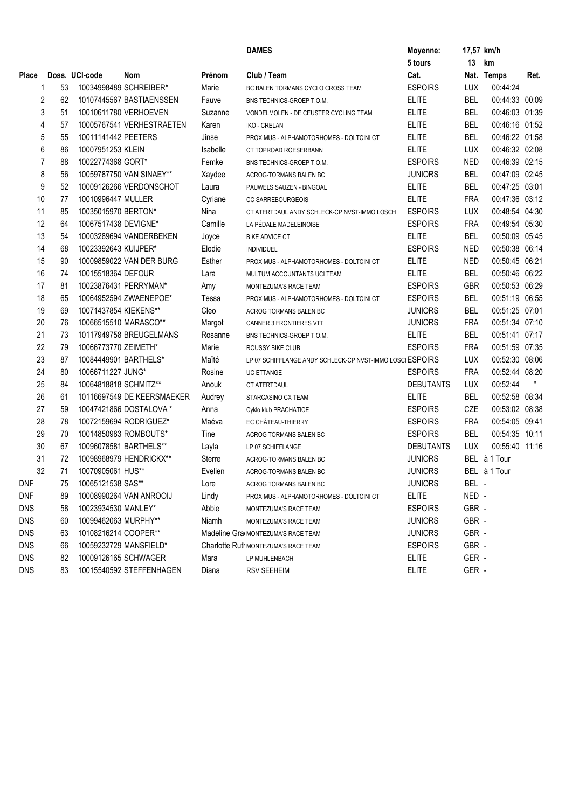|                |                      |                       |                            |               | <b>DAMES</b>                                              | Moyenne:         |            | 17,57 km/h     |      |
|----------------|----------------------|-----------------------|----------------------------|---------------|-----------------------------------------------------------|------------------|------------|----------------|------|
|                |                      |                       |                            |               |                                                           | 5 tours          | 13         | km             |      |
| <b>Place</b>   |                      | Doss. UCI-code        | Nom                        | Prénom        | Club / Team                                               | Cat.             |            | Nat. Temps     | Ret. |
| 1              | 53                   |                       | 10034998489 SCHREIBER*     | Marie         | BC BALEN TORMANS CYCLO CROSS TEAM                         | <b>ESPOIRS</b>   | <b>LUX</b> | 00:44:24       |      |
|                | $\overline{c}$<br>62 |                       | 10107445567 BASTIAENSSEN   | Fauve         | BNS TECHNICS-GROEP T.O.M.                                 | <b>ELITE</b>     | <b>BEL</b> | 00:44:33 00:09 |      |
|                | 3<br>51              |                       | 10010611780 VERHOEVEN      | Suzanne       | VONDELMOLEN - DE CEUSTER CYCLING TEAM                     | <b>ELITE</b>     | <b>BEL</b> | 00:46:03 01:39 |      |
| $\overline{4}$ | 57                   |                       | 10005767541 VERHESTRAETEN  | Karen         | <b>IKO - CRELAN</b>                                       | <b>ELITE</b>     | <b>BEL</b> | 00:46:16 01:52 |      |
|                | 5<br>55              | 10011141442 PEETERS   |                            | Jinse         | PROXIMUS - ALPHAMOTORHOMES - DOLTCINI CT                  | <b>ELITE</b>     | <b>BEL</b> | 00:46:22 01:58 |      |
| 6              | 86                   | 10007951253 KLEIN     |                            | Isabelle      | CT TOPROAD ROESERBANN                                     | <b>ELITE</b>     | <b>LUX</b> | 00:46:32 02:08 |      |
| $\overline{7}$ | 88                   | 10022774368 GORT*     |                            | Femke         | BNS TECHNICS-GROEP T.O.M.                                 | <b>ESPOIRS</b>   | <b>NED</b> | 00:46:39 02:15 |      |
| 8              | 56                   |                       | 10059787750 VAN SINAEY**   | Xaydee        | ACROG-TORMANS BALEN BC                                    | <b>JUNIORS</b>   | <b>BEL</b> | 00:47:09 02:45 |      |
| 9              | 52                   |                       | 10009126266 VERDONSCHOT    | Laura         | PAUWELS SAUZEN - BINGOAL                                  | <b>ELITE</b>     | <b>BEL</b> | 00:47:25 03:01 |      |
| 10             | 77                   | 10010996447 MULLER    |                            | Cyriane       | <b>CC SARREBOURGEOIS</b>                                  | <b>ELITE</b>     | <b>FRA</b> | 00:47:36 03:12 |      |
| 11             | 85                   | 10035015970 BERTON*   |                            | Nina          | CT ATERTDAUL ANDY SCHLECK-CP NVST-IMMO LOSCH              | <b>ESPOIRS</b>   | <b>LUX</b> | 00:48:54 04:30 |      |
| 12             | 64                   | 10067517438 DEVIGNE*  |                            | Camille       | LA PÉDALE MADELEINOISE                                    | <b>ESPOIRS</b>   | <b>FRA</b> | 00:49:54 05:30 |      |
| 13             | 54                   |                       | 10003289694 VANDERBEKEN    | Joyce         | <b>BIKE ADVICE CT</b>                                     | <b>ELITE</b>     | <b>BEL</b> | 00:50:09 05:45 |      |
| 14             | 68                   | 10023392643 KUIJPER*  |                            | Elodie        | <b>INDIVIDUEL</b>                                         | <b>ESPOIRS</b>   | <b>NED</b> | 00:50:38 06:14 |      |
| 15             | 90                   |                       | 10009859022 VAN DER BURG   | Esther        | PROXIMUS - ALPHAMOTORHOMES - DOLTCINI CT                  | <b>ELITE</b>     | <b>NED</b> | 00:50:45 06:21 |      |
| 16             | 74                   | 10015518364 DEFOUR    |                            | Lara          | MULTUM ACCOUNTANTS UCI TEAM                               | <b>ELITE</b>     | <b>BEL</b> | 00:50:46 06:22 |      |
| 17             | 81                   |                       | 10023876431 PERRYMAN*      | Amy           | MONTEZUMA'S RACE TEAM                                     | <b>ESPOIRS</b>   | <b>GBR</b> | 00:50:53 06:29 |      |
| 18             | 65                   |                       | 10064952594 ZWAENEPOE*     | Tessa         | PROXIMUS - ALPHAMOTORHOMES - DOLTCINI CT                  | <b>ESPOIRS</b>   | <b>BEL</b> | 00:51:19 06:55 |      |
| 19             | 69                   | 10071437854 KIEKENS** |                            | Cleo          | ACROG TORMANS BALEN BC                                    | <b>JUNIORS</b>   | <b>BEL</b> | 00:51:25 07:01 |      |
| 20             | 76                   | 10066515510 MARASCO** |                            | Margot        | CANNER 3 FRONTIERES VTT                                   | <b>JUNIORS</b>   | <b>FRA</b> | 00:51:34 07:10 |      |
| 21             | 73                   |                       | 10117949758 BREUGELMANS    | Rosanne       | BNS TECHNICS-GROEP T.O.M.                                 | <b>ELITE</b>     | <b>BEL</b> | 00:51:41 07:17 |      |
| 22             | 79                   | 10066773770 ZEIMETH*  |                            | Marie         | ROUSSY BIKE CLUB                                          | <b>ESPOIRS</b>   | <b>FRA</b> | 00:51:59 07:35 |      |
| 23             | 87                   | 10084449901 BARTHELS* |                            | Maïté         | LP 07 SCHIFFLANGE ANDY SCHLECK-CP NVST-IMMO LOSCI ESPOIRS |                  | <b>LUX</b> | 00:52:30 08:06 |      |
| 24             | 80                   | 10066711227 JUNG*     |                            | Rosine        | <b>UC ETTANGE</b>                                         | <b>ESPOIRS</b>   | <b>FRA</b> | 00:52:44 08:20 |      |
| 25             | 84                   | 10064818818 SCHMITZ** |                            | Anouk         | <b>CT ATERTDAUL</b>                                       | <b>DEBUTANTS</b> | <b>LUX</b> | 00:52:44       |      |
| 26             | 61                   |                       | 10116697549 DE KEERSMAEKER | Audrey        | STARCASINO CX TEAM                                        | <b>ELITE</b>     | <b>BEL</b> | 00:52:58 08:34 |      |
| 27             | 59                   |                       | 10047421866 DOSTALOVA *    | Anna          | Cyklo klub PRACHATICE                                     | <b>ESPOIRS</b>   | CZE        | 00:53:02 08:38 |      |
| 28             | 78                   |                       | 10072159694 RODRIGUEZ*     | Maéva         | EC CHÂTEAU-THIERRY                                        | <b>ESPOIRS</b>   | <b>FRA</b> | 00:54:05 09:41 |      |
| 29             | 70                   |                       | 10014850983 ROMBOUTS*      | Tine          | ACROG TORMANS BALEN BC                                    | <b>ESPOIRS</b>   | <b>BEL</b> | 00:54:35 10:11 |      |
| 30             | 67                   |                       | 10096078581 BARTHELS**     | Layla         | LP 07 SCHIFFLANGE                                         | <b>DEBUTANTS</b> | <b>LUX</b> | 00:55:40 11:16 |      |
| 31             | 72                   |                       | 10098968979 HENDRICKX**    | <b>Sterre</b> | ACROG-TORMANS BALEN BC                                    | <b>JUNIORS</b>   |            | BEL à 1 Tour   |      |
| 32             | 71                   | 10070905061 HUS**     |                            | Evelien       | ACROG-TORMANS BALEN BC                                    | <b>JUNIORS</b>   |            | BEL à 1 Tour   |      |
| DNF            | 75                   | 10065121538 SAS**     |                            | Lore          | ACROG TORMANS BALEN BC                                    | <b>JUNIORS</b>   | BEL -      |                |      |
| <b>DNF</b>     | 89                   |                       | 10008990264 VAN ANROOIJ    | Lindy         | PROXIMUS - ALPHAMOTORHOMES - DOLTCINI CT                  | <b>ELITE</b>     | NED -      |                |      |
| <b>DNS</b>     | 58                   | 10023934530 MANLEY*   |                            | Abbie         | MONTEZUMA'S RACE TEAM                                     | <b>ESPOIRS</b>   | GBR -      |                |      |
| <b>DNS</b>     | 60                   | 10099462063 MURPHY**  |                            | Niamh         | MONTEZUMA'S RACE TEAM                                     | <b>JUNIORS</b>   | GBR -      |                |      |
| <b>DNS</b>     | 63                   | 10108216214 COOPER**  |                            |               | Madeline Gra MONTEZUMA'S RACE TEAM                        | <b>JUNIORS</b>   | GBR -      |                |      |
| <b>DNS</b>     | 66                   |                       | 10059232729 MANSFIELD*     |               | Charlotte Rutl MONTEZUMA'S RACE TEAM                      | <b>ESPOIRS</b>   | GBR -      |                |      |
|                |                      |                       | 10009126165 SCHWAGER       |               |                                                           |                  |            |                |      |
| <b>DNS</b>     | 82                   |                       |                            | Mara          | LP MUHLENBACH                                             | <b>ELITE</b>     | GER -      |                |      |
| <b>DNS</b>     | 83                   |                       | 10015540592 STEFFENHAGEN   | Diana         | <b>RSV SEEHEIM</b>                                        | <b>ELITE</b>     | GER -      |                |      |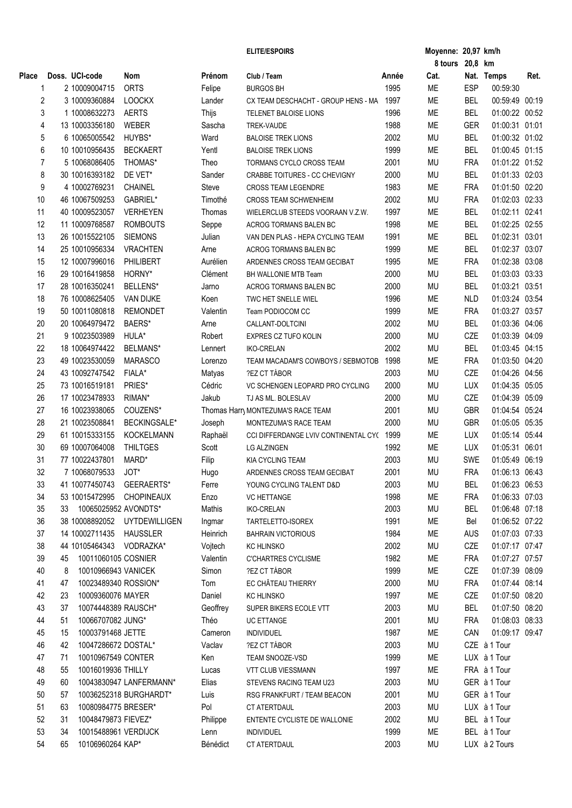|              |    |                          |                              |          | <b>ELITE/ESPOIRS</b>                     |       | Moyenne: 20,97 km/h |            |                |      |
|--------------|----|--------------------------|------------------------------|----------|------------------------------------------|-------|---------------------|------------|----------------|------|
|              |    |                          |                              |          |                                          |       | 8 tours 20,8 km     |            |                |      |
| <b>Place</b> |    | Doss. UCI-code           | Nom                          | Prénom   | Club / Team                              | Année | Cat.                |            | Nat. Temps     | Ret. |
| 1            |    | 2 10009004715            | <b>ORTS</b>                  | Felipe   | <b>BURGOS BH</b>                         | 1995  | ME                  | <b>ESP</b> | 00:59:30       |      |
| 2            |    | 3 10009360884            | <b>LOOCKX</b>                | Lander   | CX TEAM DESCHACHT - GROUP HENS - MA 1997 |       | ME                  | <b>BEL</b> | 00:59:49 00:19 |      |
| 3            |    | 1 10008632273            | <b>AERTS</b>                 | Thijs    | TELENET BALOISE LIONS                    | 1996  | ME                  | <b>BEL</b> | 01:00:22 00:52 |      |
| 4            |    | 13 10003356180           | <b>WEBER</b>                 | Sascha   | TREK-VAUDE                               | 1988  | ME                  | <b>GER</b> | 01:00:31 01:01 |      |
| 5            |    | 6 10065005542            | HUYBS*                       | Ward     | <b>BALOISE TREK LIONS</b>                | 2002  | <b>MU</b>           | <b>BEL</b> | 01:00:32 01:02 |      |
| 6            |    | 10 10010956435           | <b>BECKAERT</b>              | Yentl    | <b>BALOISE TREK LIONS</b>                | 1999  | ME                  | <b>BEL</b> | 01:00:45 01:15 |      |
| 7            |    | 5 10068086405            | THOMAS*                      | Theo     | TORMANS CYCLO CROSS TEAM                 | 2001  | <b>MU</b>           | <b>FRA</b> | 01:01:22 01:52 |      |
| 8            |    | 30 10016393182           | DE VET*                      | Sander   | CRABBE TOITURES - CC CHEVIGNY            | 2000  | <b>MU</b>           | <b>BEL</b> | 01:01:33 02:03 |      |
| 9            |    | 4 10002769231            | <b>CHAINEL</b>               | Steve    | <b>CROSS TEAM LEGENDRE</b>               | 1983  | ME                  | <b>FRA</b> | 01:01:50 02:20 |      |
| 10           |    | 46 10067509253           | GABRIEL*                     | Timothé  | <b>CROSS TEAM SCHWENHEIM</b>             | 2002  | <b>MU</b>           | <b>FRA</b> | 01:02:03 02:33 |      |
| 11           |    | 40 10009523057           | <b>VERHEYEN</b>              | Thomas   | WIELERCLUB STEEDS VOORAAN V.Z.W.         | 1997  | ME                  | <b>BEL</b> | 01:02:11 02:41 |      |
| 12           |    | 11 10009768587           |                              |          |                                          | 1998  | ME                  | <b>BEL</b> | 01:02:25 02:55 |      |
|              |    |                          | <b>ROMBOUTS</b>              | Seppe    | ACROG TORMANS BALEN BC                   |       |                     |            |                |      |
| 13           |    | 26 10015522105           | <b>SIEMONS</b>               | Julian   | VAN DEN PLAS - HEPA CYCLING TEAM         | 1991  | ME                  | <b>BEL</b> | 01:02:31 03:01 |      |
| 14           |    | 25 10010956334           | <b>VRACHTEN</b>              | Arne     | <b>ACROG TORMANS BALEN BC</b>            | 1999  | ME                  | <b>BEL</b> | 01:02:37 03:07 |      |
| 15           |    | 12 10007996016           | PHILIBERT                    | Aurélien | ARDENNES CROSS TEAM GECIBAT              | 1995  | ME                  | <b>FRA</b> | 01:02:38 03:08 |      |
| 16           |    | 29 10016419858           | HORNY*                       | Clément  | BH WALLONIE MTB Team                     | 2000  | <b>MU</b>           | <b>BEL</b> | 01:03:03 03:33 |      |
| 17           |    | 28 10016350241           | BELLENS*                     | Jarno    | ACROG TORMANS BALEN BC                   | 2000  | <b>MU</b>           | <b>BEL</b> | 01:03:21 03:51 |      |
| 18           |    | 76 10008625405           | <b>VAN DIJKE</b>             | Koen     | TWC HET SNELLE WIEL                      | 1996  | ME                  | <b>NLD</b> | 01:03:24 03:54 |      |
| 19           |    | 50 10011080818           | <b>REMONDET</b>              | Valentin | Team PODIOCOM CC                         | 1999  | ME                  | <b>FRA</b> | 01:03:27 03:57 |      |
| 20           |    | 20 10064979472           | BAERS*                       | Arne     | CALLANT-DOLTCINI                         | 2002  | <b>MU</b>           | <b>BEL</b> | 01:03:36 04:06 |      |
| 21           |    | 9 10023503989            | HULA*                        | Robert   | EXPRES CZ TUFO KOLIN                     | 2000  | <b>MU</b>           | CZE        | 01:03:39 04:09 |      |
| 22           |    | 18 10064974422           | BELMANS*                     | Lennert  | <b>IKO-CRELAN</b>                        | 2002  | <b>MU</b>           | <b>BEL</b> | 01:03:45 04:15 |      |
| 23           |    | 49 10023530059           | <b>MARASCO</b>               | Lorenzo  | TEAM MACADAM'S COWBOYS / SEBMOTOB        | 1998  | ME                  | <b>FRA</b> | 01:03:50 04:20 |      |
| 24           |    | 43 10092747542           | FIALA*                       | Matyas   | ?EZ CT TÁBOR                             | 2003  | <b>MU</b>           | CZE        | 01:04:26 04:56 |      |
| 25           |    | 73 10016519181           | PRIES*                       | Cédric   | VC SCHENGEN LEOPARD PRO CYCLING          | 2000  | <b>MU</b>           | <b>LUX</b> | 01:04:35 05:05 |      |
| 26           |    | 17 10023478933           | RIMAN*                       | Jakub    | TJ AS ML. BOLESLAV                       | 2000  | <b>MU</b>           | CZE        | 01:04:39 05:09 |      |
| 27           |    | 16 10023938065           | COUZENS*                     |          | Thomas Harry MONTEZUMA'S RACE TEAM       | 2001  | <b>MU</b>           | <b>GBR</b> | 01:04:54 05:24 |      |
| 28           |    | 21 10023508841           | <b>BECKINGSALE*</b>          | Joseph   | MONTEZUMA'S RACE TEAM                    | 2000  | <b>MU</b>           | <b>GBR</b> | 01:05:05 05:35 |      |
| 29           |    | 61 10015333155           | <b>KOCKELMANN</b>            | Raphaël  | CCI DIFFERDANGE LVIV CONTINENTAL CY(1999 |       | ME                  | <b>LUX</b> | 01:05:14 05:44 |      |
|              |    |                          |                              |          |                                          |       |                     |            |                |      |
| 30           |    | 69 10007064008           | <b>THILTGES</b>              | Scott    | <b>LG ALZINGEN</b>                       | 1992  | ME                  | <b>LUX</b> | 01:05:31 06:01 |      |
| 31           |    | 77 10022437801           | MARD*                        | Filip    | <b>KIA CYCLING TEAM</b>                  | 2003  | <b>MU</b>           | <b>SWE</b> | 01:05:49 06:19 |      |
| 32           |    | 7 10068079533            | JOT*                         | Hugo     | ARDENNES CROSS TEAM GECIBAT              | 2001  | <b>MU</b>           | <b>FRA</b> | 01:06:13 06:43 |      |
| 33           |    | 41 10077450743           | GEERAERTS*                   | Ferre    | YOUNG CYCLING TALENT D&D                 | 2003  | <b>MU</b>           | <b>BEL</b> | 01:06:23 06:53 |      |
| 34           |    | 53 10015472995           | <b>CHOPINEAUX</b>            | Enzo     | <b>VC HETTANGE</b>                       | 1998  | ME                  | <b>FRA</b> | 01:06:33 07:03 |      |
| 35           | 33 | 10065025952 AVONDTS*     |                              | Mathis   | <b>IKO-CRELAN</b>                        | 2003  | <b>MU</b>           | <b>BEL</b> | 01:06:48 07:18 |      |
| 36           |    |                          | 38 10008892052 UYTDEWILLIGEN | Ingmar   | TARTELETTO-ISOREX                        | 1991  | МE                  | Bel        | 01:06:52 07:22 |      |
| 37           |    | 14 10002711435           | HAUSSLER                     | Heinrich | <b>BAHRAIN VICTORIOUS</b>                | 1984  | ME                  | AUS        | 01:07:03 07:33 |      |
| 38           |    | 44 10105464343 VODRAZKA* |                              | Vojtech  | KC HLINSKO                               | 2002  | <b>MU</b>           | CZE        | 01:07:17 07:47 |      |
| 39           | 45 | 10011060105 COSNIER      |                              | Valentin | <b>C'CHARTRES CYCLISME</b>               | 1982  | ME                  | <b>FRA</b> | 01:07:27 07:57 |      |
| 40           | 8  | 10010966943 VANICEK      |                              | Simon    | ?EZ CT TÁBOR                             | 1999  | ME                  | CZE        | 01:07:39 08:09 |      |
| 41           | 47 | 10023489340 ROSSION*     |                              | Tom      | EC CHÂTEAU THIERRY                       | 2000  | <b>MU</b>           | <b>FRA</b> | 01:07:44 08:14 |      |
| 42           | 23 | 10009360076 MAYER        |                              | Daniel   | <b>KC HLINSKO</b>                        | 1997  | ME                  | CZE        | 01:07:50 08:20 |      |
| 43           | 37 | 10074448389 RAUSCH*      |                              | Geoffrey | SUPER BIKERS ECOLE VTT                   | 2003  | MU                  | <b>BEL</b> | 01:07:50 08:20 |      |
| 44           | 51 | 10066707082 JUNG*        |                              | Théo     | <b>UC ETTANGE</b>                        | 2001  | <b>MU</b>           | <b>FRA</b> | 01:08:03 08:33 |      |
| 45           | 15 | 10003791468 JETTE        |                              | Cameron  | <b>INDIVIDUEL</b>                        | 1987  | ME                  | CAN        | 01:09:17 09:47 |      |
| 46           | 42 | 10047286672 DOSTAL*      |                              | Vaclav   | ?EZ CT TÁBOR                             | 2003  | MU                  |            | CZE à 1 Tour   |      |
| 47           | 71 | 10010967549 CONTER       |                              | Ken      | TEAM SNOOZE-VSD                          | 1999  | ME                  |            | LUX à 1 Tour   |      |
|              |    |                          |                              |          |                                          |       |                     |            |                |      |
| 48           | 55 | 10016019936 THILLY       |                              | Lucas    | VTT CLUB VIESSMANN                       | 1997  | ME                  |            | FRA à 1 Tour   |      |
| 49           | 60 |                          | 10043830947 LANFERMANN*      | Elias    | STEVENS RACING TEAM U23                  | 2003  | <b>MU</b>           |            | GER à 1 Tour   |      |
| 50           | 57 |                          | 10036252318 BURGHARDT*       | Luis     | RSG FRANKFURT / TEAM BEACON              | 2001  | MU                  |            | GER à 1 Tour   |      |
| 51           | 63 | 10080984775 BRESER*      |                              | Pol      | CT ATERTDAUL                             | 2003  | MU                  |            | LUX à 1 Tour   |      |
| 52           | 31 | 10048479873 FIEVEZ*      |                              | Philippe | ENTENTE CYCLISTE DE WALLONIE             | 2002  | <b>MU</b>           |            | BEL à 1 Tour   |      |
| 53           | 34 | 10015488961 VERDIJCK     |                              | Lenn     | <b>INDIVIDUEL</b>                        | 1999  | МE                  |            | BEL à 1 Tour   |      |
| 54           | 65 | 10106960264 KAP*         |                              | Bénédict | CT ATERTDAUL                             | 2003  | <b>MU</b>           |            | LUX à 2 Tours  |      |